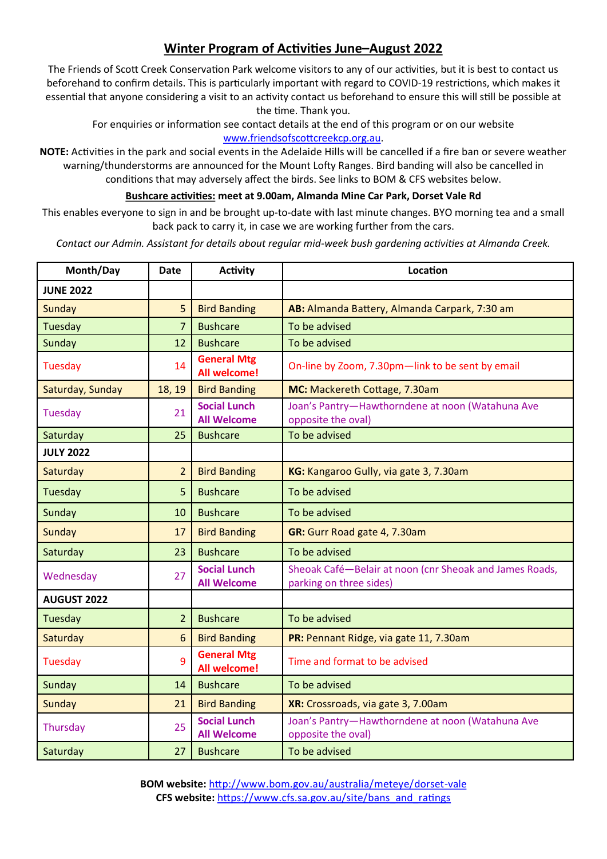## **Winter Program of Activities June–August 2022**

The Friends of Scott Creek Conservation Park welcome visitors to any of our activities, but it is best to contact us beforehand to confirm details. This is particularly important with regard to COVID-19 restrictions, which makes it essential that anyone considering a visit to an activity contact us beforehand to ensure this will still be possible at the time. Thank you.

For enquiries or information see contact details at the end of this program or on our website [www.friendsofscottcreekcp.org.au.](http://www.friendsofscottcreekcp.org.au)

**NOTE:** Activities in the park and social events in the Adelaide Hills will be cancelled if a fire ban or severe weather warning/thunderstorms are announced for the Mount Lofty Ranges. Bird banding will also be cancelled in conditions that may adversely affect the birds. See links to BOM & CFS websites below.

## **Bushcare activities: meet at 9.00am, Almanda Mine Car Park, Dorset Vale Rd**

This enables everyone to sign in and be brought up-to-date with last minute changes. BYO morning tea and a small back pack to carry it, in case we are working further from the cars.

*Contact our Admin. Assistant for details about regular mid-week bush gardening activities at Almanda Creek.*

| Month/Day          | <b>Date</b>    | <b>Activity</b>                           | Location                                                                           |
|--------------------|----------------|-------------------------------------------|------------------------------------------------------------------------------------|
| <b>JUNE 2022</b>   |                |                                           |                                                                                    |
| Sunday             | 5              | <b>Bird Banding</b>                       | AB: Almanda Battery, Almanda Carpark, 7:30 am                                      |
| Tuesday            | $\overline{7}$ | <b>Bushcare</b>                           | To be advised                                                                      |
| Sunday             | 12             | <b>Bushcare</b>                           | To be advised                                                                      |
| Tuesday            | 14             | <b>General Mtg</b><br><b>All welcome!</b> | On-line by Zoom, 7.30pm-link to be sent by email                                   |
| Saturday, Sunday   | 18, 19         | <b>Bird Banding</b>                       | MC: Mackereth Cottage, 7.30am                                                      |
| Tuesday            | 21             | <b>Social Lunch</b><br><b>All Welcome</b> | Joan's Pantry-Hawthorndene at noon (Watahuna Ave<br>opposite the oval)             |
| Saturday           | 25             | <b>Bushcare</b>                           | To be advised                                                                      |
| <b>JULY 2022</b>   |                |                                           |                                                                                    |
| Saturday           | $\overline{2}$ | <b>Bird Banding</b>                       | KG: Kangaroo Gully, via gate 3, 7.30am                                             |
| Tuesday            | 5              | <b>Bushcare</b>                           | To be advised                                                                      |
| Sunday             | 10             | <b>Bushcare</b>                           | To be advised                                                                      |
| <b>Sunday</b>      | 17             | <b>Bird Banding</b>                       | GR: Gurr Road gate 4, 7.30am                                                       |
| Saturday           | 23             | <b>Bushcare</b>                           | To be advised                                                                      |
| Wednesday          | 27             | <b>Social Lunch</b><br><b>All Welcome</b> | Sheoak Café-Belair at noon (cnr Sheoak and James Roads,<br>parking on three sides) |
| <b>AUGUST 2022</b> |                |                                           |                                                                                    |
| Tuesday            | $\overline{2}$ | <b>Bushcare</b>                           | To be advised                                                                      |
| Saturday           | 6              | <b>Bird Banding</b>                       | PR: Pennant Ridge, via gate 11, 7.30am                                             |
| Tuesday            | 9              | <b>General Mtg</b><br><b>All welcome!</b> | Time and format to be advised                                                      |
| Sunday             | 14             | <b>Bushcare</b>                           | To be advised                                                                      |
| <b>Sunday</b>      | 21             | <b>Bird Banding</b>                       | XR: Crossroads, via gate 3, 7.00am                                                 |
| Thursday           | 25             | <b>Social Lunch</b><br><b>All Welcome</b> | Joan's Pantry-Hawthorndene at noon (Watahuna Ave<br>opposite the oval)             |
| Saturday           | 27             | <b>Bushcare</b>                           | To be advised                                                                      |

**BOM website:** [http://www.bom.gov.au/australia/meteye/dorset](http://www.bom.gov.au/australia/meteye/?lat=-35.1&lon=138.7&url=/sa/dorset-vale/&name=Dorset+Vale)-vale **CFS website:** [https://www.cfs.sa.gov.au/site/bans\\_and\\_ratings](https://www.cfs.sa.gov.au/site/bans_and_ratings.jsp)